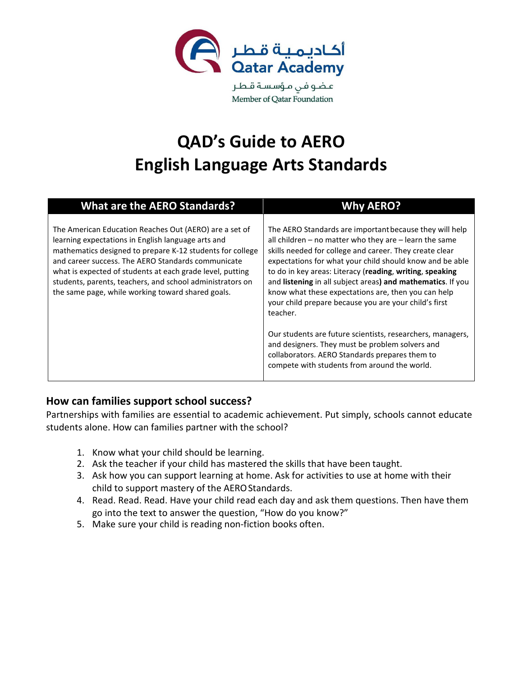

# **QAD's Guide to AERO English Language Arts Standards**

| <b>What are the AERO Standards?</b>                                                                                                                                                                                                                                                                                                                                                                            | <b>Why AERO?</b>                                                                                                                                                                                                                                                                                                                                                                                                                                                                                                                                                                                                                                                                                                   |
|----------------------------------------------------------------------------------------------------------------------------------------------------------------------------------------------------------------------------------------------------------------------------------------------------------------------------------------------------------------------------------------------------------------|--------------------------------------------------------------------------------------------------------------------------------------------------------------------------------------------------------------------------------------------------------------------------------------------------------------------------------------------------------------------------------------------------------------------------------------------------------------------------------------------------------------------------------------------------------------------------------------------------------------------------------------------------------------------------------------------------------------------|
| The American Education Reaches Out (AERO) are a set of<br>learning expectations in English language arts and<br>mathematics designed to prepare K-12 students for college<br>and career success. The AERO Standards communicate<br>what is expected of students at each grade level, putting<br>students, parents, teachers, and school administrators on<br>the same page, while working toward shared goals. | The AERO Standards are important because they will help<br>all children – no matter who they are – learn the same<br>skills needed for college and career. They create clear<br>expectations for what your child should know and be able<br>to do in key areas: Literacy (reading, writing, speaking<br>and listening in all subject areas) and mathematics. If you<br>know what these expectations are, then you can help<br>your child prepare because you are your child's first<br>teacher.<br>Our students are future scientists, researchers, managers,<br>and designers. They must be problem solvers and<br>collaborators. AERO Standards prepares them to<br>compete with students from around the world. |

#### **How can families support school success?**

Partnerships with families are essential to academic achievement. Put simply, schools cannot educate students alone. How can families partner with the school?

- 1. Know what your child should be learning.
- 2. Ask the teacher if your child has mastered the skills that have been taught.
- 3. Ask how you can support learning at home. Ask for activities to use at home with their child to support mastery of the AERO Standards.
- 4. Read. Read. Read. Have your child read each day and ask them questions. Then have them go into the text to answer the question, "How do you know?"
- 5. Make sure your child is reading non-fiction books often.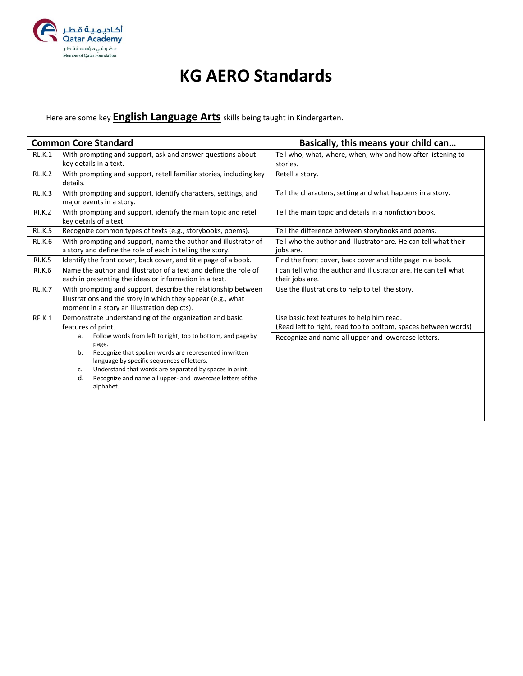

#### **KG AERO Standards**

Here are some key **English Language Arts** skills being taught in Kindergarten.

|               | <b>Common Core Standard</b>                                                                                                                                                                                                                                                                                                                                                                                                 | Basically, this means your child can                                                                                                                               |
|---------------|-----------------------------------------------------------------------------------------------------------------------------------------------------------------------------------------------------------------------------------------------------------------------------------------------------------------------------------------------------------------------------------------------------------------------------|--------------------------------------------------------------------------------------------------------------------------------------------------------------------|
| <b>RL.K.1</b> | With prompting and support, ask and answer questions about<br>key details in a text.                                                                                                                                                                                                                                                                                                                                        | Tell who, what, where, when, why and how after listening to<br>stories.                                                                                            |
| <b>RL.K.2</b> | With prompting and support, retell familiar stories, including key<br>details.                                                                                                                                                                                                                                                                                                                                              | Retell a story.                                                                                                                                                    |
| <b>RL.K.3</b> | With prompting and support, identify characters, settings, and<br>major events in a story.                                                                                                                                                                                                                                                                                                                                  | Tell the characters, setting and what happens in a story.                                                                                                          |
| <b>RI.K.2</b> | With prompting and support, identify the main topic and retell<br>key details of a text.                                                                                                                                                                                                                                                                                                                                    | Tell the main topic and details in a nonfiction book.                                                                                                              |
| <b>RL.K.5</b> | Recognize common types of texts (e.g., storybooks, poems).                                                                                                                                                                                                                                                                                                                                                                  | Tell the difference between storybooks and poems.                                                                                                                  |
| <b>RL.K.6</b> | With prompting and support, name the author and illustrator of<br>a story and define the role of each in telling the story.                                                                                                                                                                                                                                                                                                 | Tell who the author and illustrator are. He can tell what their<br>jobs are.                                                                                       |
| <b>RI.K.5</b> | Identify the front cover, back cover, and title page of a book.                                                                                                                                                                                                                                                                                                                                                             | Find the front cover, back cover and title page in a book.                                                                                                         |
| <b>RI.K.6</b> | Name the author and illustrator of a text and define the role of<br>each in presenting the ideas or information in a text.                                                                                                                                                                                                                                                                                                  | I can tell who the author and illustrator are. He can tell what<br>their jobs are.                                                                                 |
| <b>RL.K.7</b> | With prompting and support, describe the relationship between<br>illustrations and the story in which they appear (e.g., what<br>moment in a story an illustration depicts).                                                                                                                                                                                                                                                | Use the illustrations to help to tell the story.                                                                                                                   |
| RF.K.1        | Demonstrate understanding of the organization and basic<br>features of print.<br>Follow words from left to right, top to bottom, and page by<br>a.<br>page.<br>Recognize that spoken words are represented in written<br>b.<br>language by specific sequences of letters.<br>Understand that words are separated by spaces in print.<br>c.<br>Recognize and name all upper- and lowercase letters of the<br>d.<br>alphabet. | Use basic text features to help him read.<br>(Read left to right, read top to bottom, spaces between words)<br>Recognize and name all upper and lowercase letters. |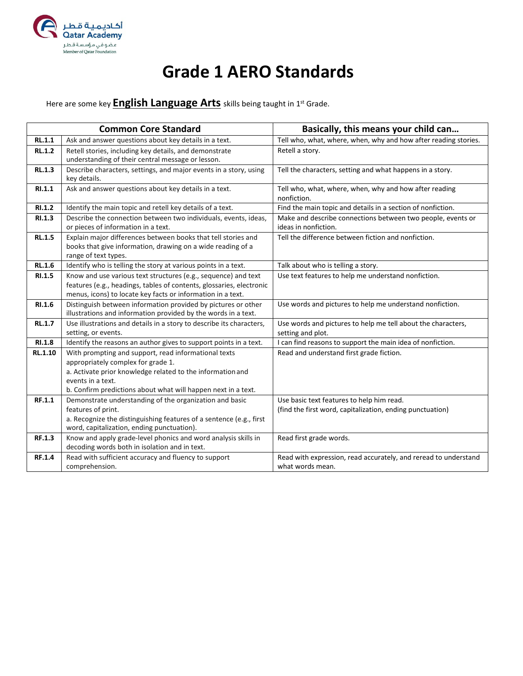

# **Grade 1 AERO Standards**

Here are some key **English Language Arts** skills being taught in 1st Grade.

|               | <b>Common Core Standard</b>                                                                                                                                                                                                                    | Basically, this means your child can                                                                   |
|---------------|------------------------------------------------------------------------------------------------------------------------------------------------------------------------------------------------------------------------------------------------|--------------------------------------------------------------------------------------------------------|
| RL.1.1        | Ask and answer questions about key details in a text.                                                                                                                                                                                          | Tell who, what, where, when, why and how after reading stories.                                        |
| <b>RL.1.2</b> | Retell stories, including key details, and demonstrate<br>understanding of their central message or lesson.                                                                                                                                    | Retell a story.                                                                                        |
| RL.1.3        | Describe characters, settings, and major events in a story, using<br>key details.                                                                                                                                                              | Tell the characters, setting and what happens in a story.                                              |
| RI.1.1        | Ask and answer questions about key details in a text.                                                                                                                                                                                          | Tell who, what, where, when, why and how after reading<br>nonfiction.                                  |
| RI.1.2        | Identify the main topic and retell key details of a text.                                                                                                                                                                                      | Find the main topic and details in a section of nonfiction.                                            |
| RI.1.3        | Describe the connection between two individuals, events, ideas,<br>or pieces of information in a text.                                                                                                                                         | Make and describe connections between two people, events or<br>ideas in nonfiction.                    |
| <b>RL.1.5</b> | Explain major differences between books that tell stories and<br>books that give information, drawing on a wide reading of a<br>range of text types.                                                                                           | Tell the difference between fiction and nonfiction.                                                    |
| <b>RL.1.6</b> | Identify who is telling the story at various points in a text.                                                                                                                                                                                 | Talk about who is telling a story.                                                                     |
| RI.1.5        | Know and use various text structures (e.g., sequence) and text<br>features (e.g., headings, tables of contents, glossaries, electronic<br>menus, icons) to locate key facts or information in a text.                                          | Use text features to help me understand nonfiction.                                                    |
| RI.1.6        | Distinguish between information provided by pictures or other<br>illustrations and information provided by the words in a text.                                                                                                                | Use words and pictures to help me understand nonfiction.                                               |
| <b>RL.1.7</b> | Use illustrations and details in a story to describe its characters,<br>setting, or events.                                                                                                                                                    | Use words and pictures to help me tell about the characters,<br>setting and plot.                      |
| RI.1.8        | Identify the reasons an author gives to support points in a text.                                                                                                                                                                              | I can find reasons to support the main idea of nonfiction.                                             |
| RL.1.10       | With prompting and support, read informational texts<br>appropriately complex for grade 1.<br>a. Activate prior knowledge related to the information and<br>events in a text.<br>b. Confirm predictions about what will happen next in a text. | Read and understand first grade fiction.                                                               |
| RF.1.1        | Demonstrate understanding of the organization and basic<br>features of print.<br>a. Recognize the distinguishing features of a sentence (e.g., first<br>word, capitalization, ending punctuation).                                             | Use basic text features to help him read.<br>(find the first word, capitalization, ending punctuation) |
| RF.1.3        | Know and apply grade-level phonics and word analysis skills in<br>decoding words both in isolation and in text.                                                                                                                                | Read first grade words.                                                                                |
| RF.1.4        | Read with sufficient accuracy and fluency to support<br>comprehension.                                                                                                                                                                         | Read with expression, read accurately, and reread to understand<br>what words mean.                    |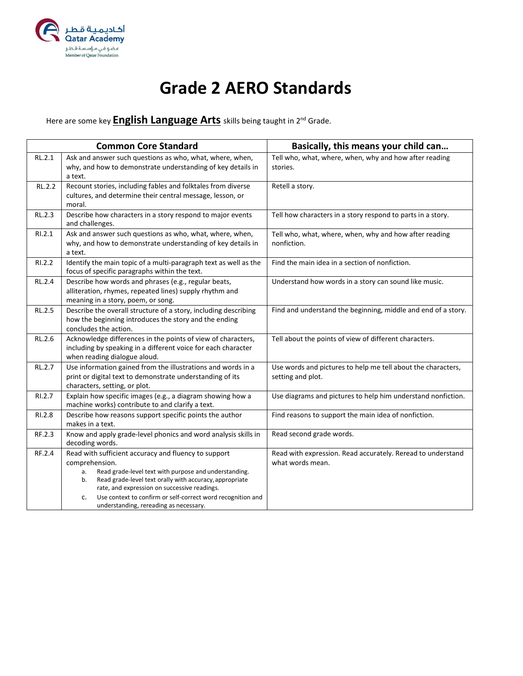

# **Grade 2 AERO Standards**

Here are some key **English Language Arts** skills being taught in 2nd Grade.

|               | <b>Common Core Standard</b>                                                                                                                                                                                                                                                                                                                                           | Basically, this means your child can                                              |
|---------------|-----------------------------------------------------------------------------------------------------------------------------------------------------------------------------------------------------------------------------------------------------------------------------------------------------------------------------------------------------------------------|-----------------------------------------------------------------------------------|
| RL.2.1        | Ask and answer such questions as who, what, where, when,<br>why, and how to demonstrate understanding of key details in<br>a text.                                                                                                                                                                                                                                    | Tell who, what, where, when, why and how after reading<br>stories.                |
| RL.2.2        | Recount stories, including fables and folktales from diverse<br>cultures, and determine their central message, lesson, or<br>moral.                                                                                                                                                                                                                                   | Retell a story.                                                                   |
| RL.2.3        | Describe how characters in a story respond to major events<br>and challenges.                                                                                                                                                                                                                                                                                         | Tell how characters in a story respond to parts in a story.                       |
| RI.2.1        | Ask and answer such questions as who, what, where, when,<br>why, and how to demonstrate understanding of key details in<br>a text.                                                                                                                                                                                                                                    | Tell who, what, where, when, why and how after reading<br>nonfiction.             |
| RI.2.2        | Identify the main topic of a multi-paragraph text as well as the<br>focus of specific paragraphs within the text.                                                                                                                                                                                                                                                     | Find the main idea in a section of nonfiction.                                    |
| RL.2.4        | Describe how words and phrases (e.g., regular beats,<br>alliteration, rhymes, repeated lines) supply rhythm and<br>meaning in a story, poem, or song.                                                                                                                                                                                                                 | Understand how words in a story can sound like music.                             |
| <b>RL.2.5</b> | Describe the overall structure of a story, including describing<br>how the beginning introduces the story and the ending<br>concludes the action.                                                                                                                                                                                                                     | Find and understand the beginning, middle and end of a story.                     |
| RL.2.6        | Acknowledge differences in the points of view of characters,<br>including by speaking in a different voice for each character<br>when reading dialogue aloud.                                                                                                                                                                                                         | Tell about the points of view of different characters.                            |
| RL.2.7        | Use information gained from the illustrations and words in a<br>print or digital text to demonstrate understanding of its<br>characters, setting, or plot.                                                                                                                                                                                                            | Use words and pictures to help me tell about the characters,<br>setting and plot. |
| RI.2.7        | Explain how specific images (e.g., a diagram showing how a<br>machine works) contribute to and clarify a text.                                                                                                                                                                                                                                                        | Use diagrams and pictures to help him understand nonfiction.                      |
| RI.2.8        | Describe how reasons support specific points the author<br>makes in a text.                                                                                                                                                                                                                                                                                           | Find reasons to support the main idea of nonfiction.                              |
| RF.2.3        | Know and apply grade-level phonics and word analysis skills in<br>decoding words.                                                                                                                                                                                                                                                                                     | Read second grade words.                                                          |
| RF.2.4        | Read with sufficient accuracy and fluency to support<br>comprehension.<br>Read grade-level text with purpose and understanding.<br>a.<br>Read grade-level text orally with accuracy, appropriate<br>b.<br>rate, and expression on successive readings.<br>Use context to confirm or self-correct word recognition and<br>c.<br>understanding, rereading as necessary. | Read with expression. Read accurately. Reread to understand<br>what words mean.   |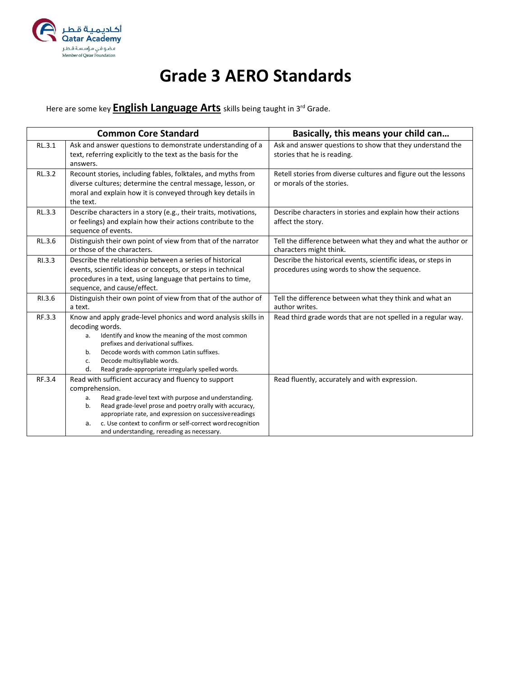

# **Grade 3 AERO Standards**

Here are some key **English Language Arts** skills being taught in 3<sup>rd</sup> Grade.

|        | <b>Common Core Standard</b>                                                                                                                                                                                                                                                                                                                                                         | Basically, this means your child can                                                                          |
|--------|-------------------------------------------------------------------------------------------------------------------------------------------------------------------------------------------------------------------------------------------------------------------------------------------------------------------------------------------------------------------------------------|---------------------------------------------------------------------------------------------------------------|
| RL.3.1 | Ask and answer questions to demonstrate understanding of a<br>text, referring explicitly to the text as the basis for the<br>answers.                                                                                                                                                                                                                                               | Ask and answer questions to show that they understand the<br>stories that he is reading.                      |
| RL.3.2 | Recount stories, including fables, folktales, and myths from<br>diverse cultures; determine the central message, lesson, or<br>moral and explain how it is conveyed through key details in<br>the text.                                                                                                                                                                             | Retell stories from diverse cultures and figure out the lessons<br>or morals of the stories.                  |
| RL.3.3 | Describe characters in a story (e.g., their traits, motivations,<br>or feelings) and explain how their actions contribute to the<br>sequence of events.                                                                                                                                                                                                                             | Describe characters in stories and explain how their actions<br>affect the story.                             |
| RL.3.6 | Distinguish their own point of view from that of the narrator<br>or those of the characters.                                                                                                                                                                                                                                                                                        | Tell the difference between what they and what the author or<br>characters might think.                       |
| RI.3.3 | Describe the relationship between a series of historical<br>events, scientific ideas or concepts, or steps in technical<br>procedures in a text, using language that pertains to time,<br>sequence, and cause/effect.                                                                                                                                                               | Describe the historical events, scientific ideas, or steps in<br>procedures using words to show the sequence. |
| RI.3.6 | Distinguish their own point of view from that of the author of<br>a text.                                                                                                                                                                                                                                                                                                           | Tell the difference between what they think and what an<br>author writes.                                     |
| RF.3.3 | Know and apply grade-level phonics and word analysis skills in<br>decoding words.<br>Identify and know the meaning of the most common<br>а.<br>prefixes and derivational suffixes.<br>Decode words with common Latin suffixes.<br>b.<br>Decode multisyllable words.<br>c.<br>d.<br>Read grade-appropriate irregularly spelled words.                                                | Read third grade words that are not spelled in a regular way.                                                 |
| RF.3.4 | Read with sufficient accuracy and fluency to support<br>comprehension.<br>Read grade-level text with purpose and understanding.<br>a.<br>Read grade-level prose and poetry orally with accuracy,<br>b.<br>appropriate rate, and expression on successive readings<br>c. Use context to confirm or self-correct word recognition<br>a.<br>and understanding, rereading as necessary. | Read fluently, accurately and with expression.                                                                |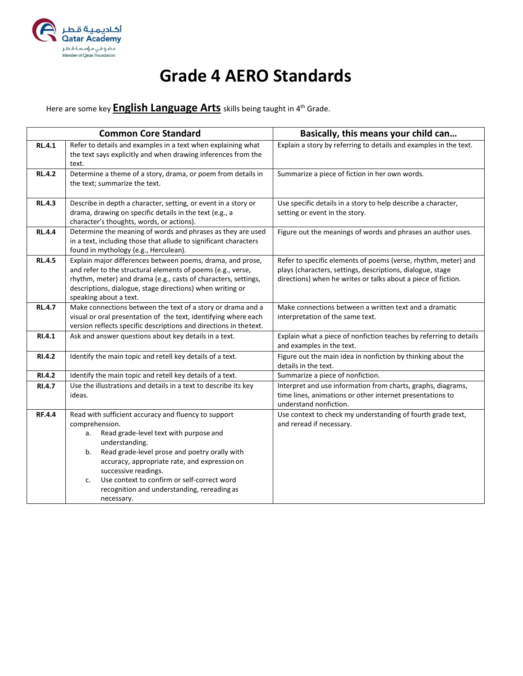

## **Grade 4 AERO Standards**

Here are some key **English Language Arts** skills being taught in 4th Grade.

|               | <b>Common Core Standard</b>                                                                                                                                                                                                                                                                                                                                                                | Basically, this means your child can                                                                                                                                                          |
|---------------|--------------------------------------------------------------------------------------------------------------------------------------------------------------------------------------------------------------------------------------------------------------------------------------------------------------------------------------------------------------------------------------------|-----------------------------------------------------------------------------------------------------------------------------------------------------------------------------------------------|
| <b>RL.4.1</b> | Refer to details and examples in a text when explaining what<br>the text says explicitly and when drawing inferences from the<br>text.                                                                                                                                                                                                                                                     | Explain a story by referring to details and examples in the text.                                                                                                                             |
| <b>RL.4.2</b> | Determine a theme of a story, drama, or poem from details in<br>the text; summarize the text.                                                                                                                                                                                                                                                                                              | Summarize a piece of fiction in her own words.                                                                                                                                                |
| <b>RL.4.3</b> | Describe in depth a character, setting, or event in a story or<br>drama, drawing on specific details in the text (e.g., a<br>character's thoughts, words, or actions).                                                                                                                                                                                                                     | Use specific details in a story to help describe a character,<br>setting or event in the story.                                                                                               |
| <b>RL.4.4</b> | Determine the meaning of words and phrases as they are used<br>in a text, including those that allude to significant characters<br>found in mythology (e.g., Herculean).                                                                                                                                                                                                                   | Figure out the meanings of words and phrases an author uses.                                                                                                                                  |
| <b>RL.4.5</b> | Explain major differences between poems, drama, and prose,<br>and refer to the structural elements of poems (e.g., verse,<br>rhythm, meter) and drama (e.g., casts of characters, settings,<br>descriptions, dialogue, stage directions) when writing or<br>speaking about a text.                                                                                                         | Refer to specific elements of poems (verse, rhythm, meter) and<br>plays (characters, settings, descriptions, dialogue, stage<br>directions) when he writes or talks about a piece of fiction. |
| <b>RL.4.7</b> | Make connections between the text of a story or drama and a<br>visual or oral presentation of the text, identifying where each<br>version reflects specific descriptions and directions in thetext.                                                                                                                                                                                        | Make connections between a written text and a dramatic<br>interpretation of the same text.                                                                                                    |
| RI.4.1        | Ask and answer questions about key details in a text.                                                                                                                                                                                                                                                                                                                                      | Explain what a piece of nonfiction teaches by referring to details<br>and examples in the text.                                                                                               |
| RI.4.2        | Identify the main topic and retell key details of a text.                                                                                                                                                                                                                                                                                                                                  | Figure out the main idea in nonfiction by thinking about the<br>details in the text.                                                                                                          |
| RI.4.2        | Identify the main topic and retell key details of a text.                                                                                                                                                                                                                                                                                                                                  | Summarize a piece of nonfiction.                                                                                                                                                              |
| <b>RI.4.7</b> | Use the illustrations and details in a text to describe its key<br>ideas.                                                                                                                                                                                                                                                                                                                  | Interpret and use information from charts, graphs, diagrams,<br>time lines, animations or other internet presentations to<br>understand nonfiction.                                           |
| <b>RF.4.4</b> | Read with sufficient accuracy and fluency to support<br>comprehension.<br>Read grade-level text with purpose and<br>a.<br>understanding.<br>Read grade-level prose and poetry orally with<br>b.<br>accuracy, appropriate rate, and expression on<br>successive readings.<br>Use context to confirm or self-correct word<br>c.<br>recognition and understanding, rereading as<br>necessary. | Use context to check my understanding of fourth grade text,<br>and reread if necessary.                                                                                                       |